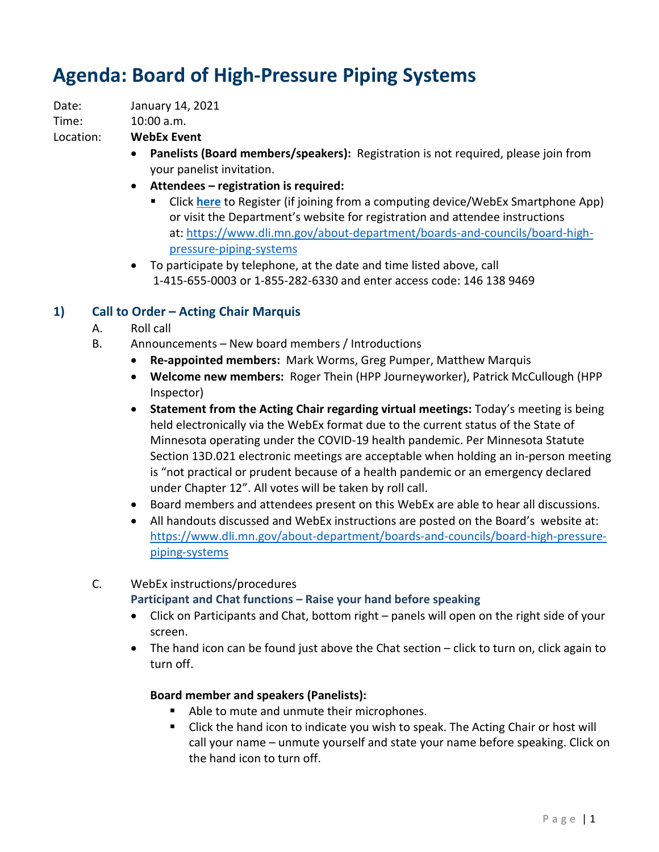# **Agenda: Board of High-Pressure Piping Systems**

Date: January 14, 2021

10:00 a.m. Time: 10:00 a.m. Location: **WebEx Event** 

- **Panelists (Board members/speakers):** Registration is not required, please join from your panelist invitation.
- **Attendees registration is required:** 
	- Click **[here](https://minnesota.webex.com/minnesota/onstage/g.php?MTID=e9ad932b4ba051e3ae9adf4dcc56f1317)** to Register (if joining from a computing device/WebEx Smartphone App) or visit the Department's website for registration and attendee instructions at: [https://www.dli.mn.gov/about-department/boards-and-councils/board-high](https://www.dli.mn.gov/about-department/boards-and-councils/board-high-pressure-piping-systems)[pressure-piping-systems](https://www.dli.mn.gov/about-department/boards-and-councils/board-high-pressure-piping-systems)
- To participate by telephone, at the date and time listed above, call 1-415-655-0003 or 1-855-282-6330 and enter access code: 146 138 9469

## **1) Call to Order – Acting Chair Marquis**

- A. Roll call
- B. Announcements New board members / Introductions
	- **Re-appointed members:** Mark Worms, Greg Pumper, Matthew Marquis
	- **Welcome new members:** Roger Thein (HPP Journeyworker), Patrick McCullough (HPP Inspector)
	- Minnesota operating under the COVID-19 health pandemic. Per Minnesota Statute under Chapter 12". All votes will be taken by roll call. • **Statement from the Acting Chair regarding virtual meetings:** Today's meeting is being held electronically via the WebEx format due to the current status of the State of Section 13D.021 electronic meetings are acceptable when holding an in-person meeting is "not practical or prudent because of a health pandemic or an emergency declared
	- Board members and attendees present on this WebEx are able to hear all discussions.
	- • All handouts discussed and WebEx instructions are posted on the Board's website at: [https://www.dli.mn.gov/about-department/boards-and-councils/board-high-pressure](https://www.dli.mn.gov/about-department/boards-and-councils/board-high-pressure-piping-systems)[piping-systems](https://www.dli.mn.gov/about-department/boards-and-councils/board-high-pressure-piping-systems)

## C. WebEx instructions/procedures **Participant and Chat functions – Raise your hand before speaking**

- • Click on Participants and Chat, bottom right panels will open on the right side of your screen.
- The hand icon can be found just above the Chat section click to turn on, click again to turn off.

## **Board member and speakers (Panelists):**

- **Able to mute and unmute their microphones.**
- call your name unmute yourself and state your name before speaking. Click on **EXTE:** Click the hand icon to indicate you wish to speak. The Acting Chair or host will the hand icon to turn off.